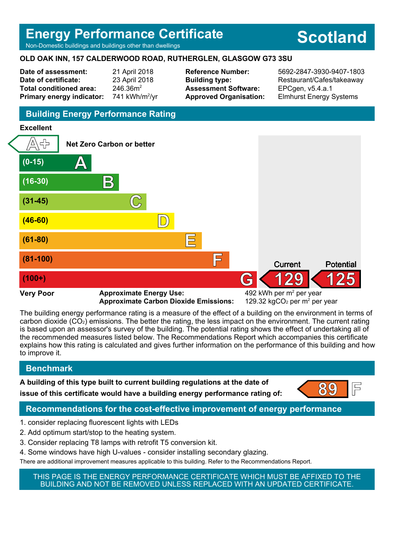## **Energy Performance Certificate**

Non-Domestic buildings and buildings other than dwellings

#### **OLD OAK INN, 157 CALDERWOOD ROAD, RUTHERGLEN, GLASGOW G73 3SU**

**Date of assessment:** 21 April 2018 **Date of certificate:** 23 April 2018 Total conditioned area: 246.36m<sup>2</sup> **Primary energy indicator:** 741 kWh/m $<sup>2</sup>/vr$ </sup> **Assessment Software:** EPCgen, v5.4.a.1

**Reference Number:** 5692-2847-3930-9407-1803 **Building type:** Restaurant/Cafes/takeaway **Approved Organisation:** Elmhurst Energy Systems

## **Building Energy Performance Rating**

#### **Excellent**



**Approximate Carbon Dioxide Emissions:** 

The building energy performance rating is a measure of the effect of a building on the environment in terms of carbon dioxide (CO2) emissions. The better the rating, the less impact on the environment. The current rating is based upon an assessor's survey of the building. The potential rating shows the effect of undertaking all of the recommended measures listed below. The Recommendations Report which accompanies this certificate explains how this rating is calculated and gives further information on the performance of this building and how to improve it.

## **Benchmark**

**A building of this type built to current building regulations at the date of issue of this certificate would have a building energy performance rating of: 89 F** 



## **Recommendations for the cost-effective improvement of energy performance**

- 1. consider replacing fluorescent lights with LEDs
- 2. Add optimum start/stop to the heating system.
- 3. Consider replacing T8 lamps with retrofit T5 conversion kit.
- 4. Some windows have high U-values consider installing secondary glazing.
- There are additional improvement measures applicable to this building. Refer to the Recommendations Report.

THIS PAGE IS THE ENERGY PERFORMANCE CERTIFICATE WHICH MUST BE AFFIXED TO THE BUILDING AND NOT BE REMOVED UNLESS REPLACED WITH AN UPDATED CERTIFICATE.

# **Scotland**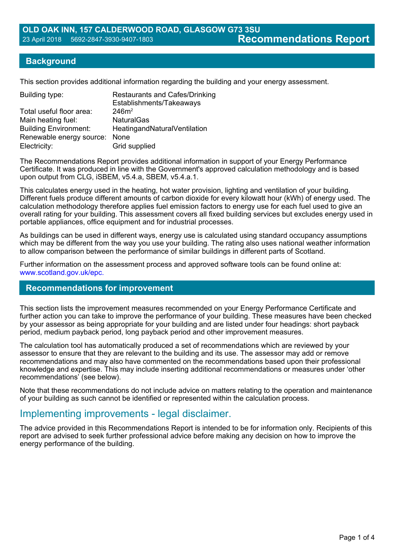#### **Background**

This section provides additional information regarding the building and your energy assessment.

| <b>Restaurants and Cafes/Drinking</b><br>Establishments/Takeaways |
|-------------------------------------------------------------------|
| 246m <sup>2</sup>                                                 |
| <b>NaturalGas</b>                                                 |
| HeatingandNaturalVentilation                                      |
| Renewable energy source: None                                     |
| Grid supplied                                                     |
|                                                                   |

The Recommendations Report provides additional information in support of your Energy Performance Certificate. It was produced in line with the Government's approved calculation methodology and is based upon output from CLG, iSBEM, v5.4.a, SBEM, v5.4.a.1.

This calculates energy used in the heating, hot water provision, lighting and ventilation of your building. Different fuels produce different amounts of carbon dioxide for every kilowatt hour (kWh) of energy used. The calculation methodology therefore applies fuel emission factors to energy use for each fuel used to give an overall rating for your building. This assessment covers all fixed building services but excludes energy used in portable appliances, office equipment and for industrial processes.

As buildings can be used in different ways, energy use is calculated using standard occupancy assumptions which may be different from the way you use your building. The rating also uses national weather information to allow comparison between the performance of similar buildings in different parts of Scotland.

Further information on the assessment process and approved software tools can be found online at: www.scotland.gov.uk/epc.

#### **Recommendations for improvement**

This section lists the improvement measures recommended on your Energy Performance Certificate and further action you can take to improve the performance of your building. These measures have been checked by your assessor as being appropriate for your building and are listed under four headings: short payback period, medium payback period, long payback period and other improvement measures.

The calculation tool has automatically produced a set of recommendations which are reviewed by your assessor to ensure that they are relevant to the building and its use. The assessor may add or remove recommendations and may also have commented on the recommendations based upon their professional knowledge and expertise. This may include inserting additional recommendations or measures under 'other recommendations' (see below).

Note that these recommendations do not include advice on matters relating to the operation and maintenance of your building as such cannot be identified or represented within the calculation process.

## Implementing improvements - legal disclaimer.

The advice provided in this Recommendations Report is intended to be for information only. Recipients of this report are advised to seek further professional advice before making any decision on how to improve the energy performance of the building.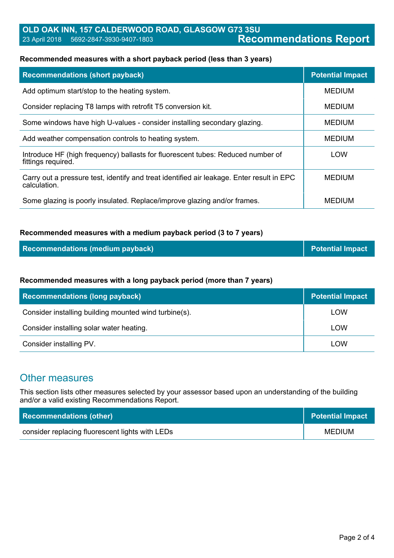## **OLD OAK INN, 157 CALDERWOOD ROAD, GLASGOW G73 3SU** 23 April 2018 5692-2847-3930-9407-1803 **Recommendations Report**

#### **Recommended measures with a short payback period (less than 3 years)**

| <b>Recommendations (short payback)</b>                                                                    | <b>Potential Impact</b> |
|-----------------------------------------------------------------------------------------------------------|-------------------------|
| Add optimum start/stop to the heating system.                                                             | <b>MEDIUM</b>           |
| Consider replacing T8 lamps with retrofit T5 conversion kit.                                              | <b>MEDIUM</b>           |
| Some windows have high U-values - consider installing secondary glazing.                                  | <b>MEDIUM</b>           |
| Add weather compensation controls to heating system.                                                      | <b>MEDIUM</b>           |
| Introduce HF (high frequency) ballasts for fluorescent tubes: Reduced number of<br>fittings required.     | <b>LOW</b>              |
| Carry out a pressure test, identify and treat identified air leakage. Enter result in EPC<br>calculation. | <b>MEDIUM</b>           |
| Some glazing is poorly insulated. Replace/improve glazing and/or frames.                                  | <b>MEDIUM</b>           |

#### **Recommended measures with a medium payback period (3 to 7 years)**

| Recommendations (medium payback) | <b>Potential Impact</b> |
|----------------------------------|-------------------------|
|----------------------------------|-------------------------|

#### **Recommended measures with a long payback period (more than 7 years)**

| <b>Recommendations (long payback)</b>                 | <b>Potential Impact</b> |
|-------------------------------------------------------|-------------------------|
| Consider installing building mounted wind turbine(s). | <b>LOW</b>              |
| Consider installing solar water heating.              | <b>LOW</b>              |
| Consider installing PV.                               | <b>LOW</b>              |

## Other measures

This section lists other measures selected by your assessor based upon an understanding of the building and/or a valid existing Recommendations Report.

| <b>Recommendations (other)</b>                  | <b>Potential Impact</b> |
|-------------------------------------------------|-------------------------|
| consider replacing fluorescent lights with LEDs | <b>MEDIUM</b>           |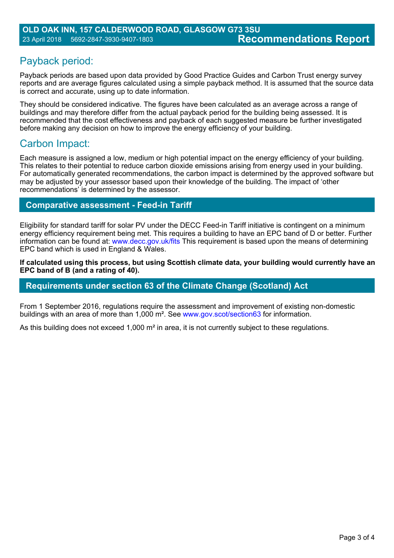## Payback period:

Payback periods are based upon data provided by Good Practice Guides and Carbon Trust energy survey reports and are average figures calculated using a simple payback method. It is assumed that the source data is correct and accurate, using up to date information.

They should be considered indicative. The figures have been calculated as an average across a range of buildings and may therefore differ from the actual payback period for the building being assessed. It is recommended that the cost effectiveness and payback of each suggested measure be further investigated before making any decision on how to improve the energy efficiency of your building.

## Carbon Impact:

Each measure is assigned a low, medium or high potential impact on the energy efficiency of your building. This relates to their potential to reduce carbon dioxide emissions arising from energy used in your building. For automatically generated recommendations, the carbon impact is determined by the approved software but may be adjusted by your assessor based upon their knowledge of the building. The impact of 'other recommendations' is determined by the assessor.

## **Comparative assessment - Feed-in Tariff**

Eligibility for standard tariff for solar PV under the DECC Feed-in Tariff initiative is contingent on a minimum energy efficiency requirement being met. This requires a building to have an EPC band of D or better. Further information can be found at: www.decc.gov.uk/fits This requirement is based upon the means of determining EPC band which is used in England & Wales.

**If calculated using this process, but using Scottish climate data, your building would currently have an EPC band of B (and a rating of 40).**

## **Requirements under section 63 of the Climate Change (Scotland) Act**

From 1 September 2016, regulations require the assessment and improvement of existing non-domestic buildings with an area of more than 1,000 m². See www.gov.scot/section63 for information.

As this building does not exceed 1,000 m<sup>2</sup> in area, it is not currently subject to these regulations.